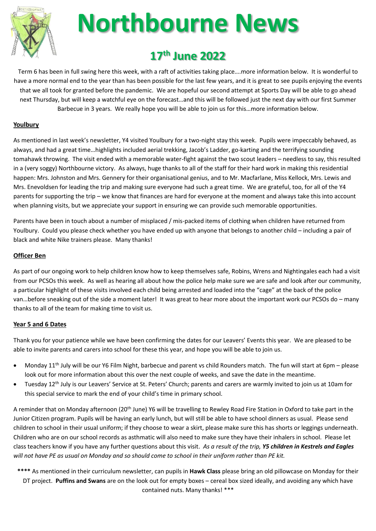

# **Northbourne News**

### **17 th June 2022**

Term 6 has been in full swing here this week, with a raft of activities taking place….more information below. It is wonderful to have a more normal end to the year than has been possible for the last few years, and it is great to see pupils enjoying the events that we all took for granted before the pandemic. We are hopeful our second attempt at Sports Day will be able to go ahead next Thursday, but will keep a watchful eye on the forecast…and this will be followed just the next day with our first Summer Barbecue in 3 years. We really hope you will be able to join us for this…more information below.

#### **Youlbury**

As mentioned in last week's newsletter, Y4 visited Youlbury for a two-night stay this week. Pupils were impeccably behaved, as always, and had a great time…highlights included aerial trekking, Jacob's Ladder, go-karting and the terrifying sounding tomahawk throwing. The visit ended with a memorable water-fight against the two scout leaders – needless to say, this resulted in a (very soggy) Northbourne victory. As always, huge thanks to all of the staff for their hard work in making this residential happen: Mrs. Johnston and Mrs. Gennery for their organisational genius, and to Mr. Macfarlane, Miss Kellock, Mrs. Lewis and Mrs. Enevoldsen for leading the trip and making sure everyone had such a great time. We are grateful, too, for all of the Y4 parents for supporting the trip – we know that finances are hard for everyone at the moment and always take this into account when planning visits, but we appreciate your support in ensuring we can provide such memorable opportunities.

Parents have been in touch about a number of misplaced / mis-packed items of clothing when children have returned from Youlbury. Could you please check whether you have ended up with anyone that belongs to another child – including a pair of black and white Nike trainers please. Many thanks!

#### **Officer Ben**

As part of our ongoing work to help children know how to keep themselves safe, Robins, Wrens and Nightingales each had a visit from our PCSOs this week. As well as hearing all about how the police help make sure we are safe and look after our community, a particular highlight of these visits involved each child being arrested and loaded into the "cage" at the back of the police van…before sneaking out of the side a moment later! It was great to hear more about the important work our PCSOs do – many thanks to all of the team for making time to visit us.

#### **Year 5 and 6 Dates**

Thank you for your patience while we have been confirming the dates for our Leavers' Events this year. We are pleased to be able to invite parents and carers into school for these this year, and hope you will be able to join us.

- Monday 11<sup>th</sup> July will be our Y6 Film Night, barbecue and parent vs child Rounders match. The fun will start at 6pm please look out for more information about this over the next couple of weeks, and save the date in the meantime.
- Tuesday 12th July is our Leavers' Service at St. Peters' Church; parents and carers are warmly invited to join us at 10am for this special service to mark the end of your child's time in primary school.

A reminder that on Monday afternoon (20<sup>th</sup> June) Y6 will be travelling to Rewley Road Fire Station in Oxford to take part in the Junior Citizen program. Pupils will be having an early lunch, but will still be able to have school dinners as usual. Please send children to school in their usual uniform; if they choose to wear a skirt, please make sure this has shorts or leggings underneath. Children who are on our school records as asthmatic will also need to make sure they have their inhalers in school. Please let class teachers know if you have any further questions about this visit. *As a result of the trip, Y5 children in Kestrels and Eagles will not have PE as usual on Monday and so should come to school in their uniform rather than PE kit.*

**\*\*\*\*** As mentioned in their curriculum newsletter, can pupils in **Hawk Class** please bring an old pillowcase on Monday for their DT project. **Puffins and Swans** are on the look out for empty boxes – cereal box sized ideally, and avoiding any which have contained nuts. Many thanks! \*\*\*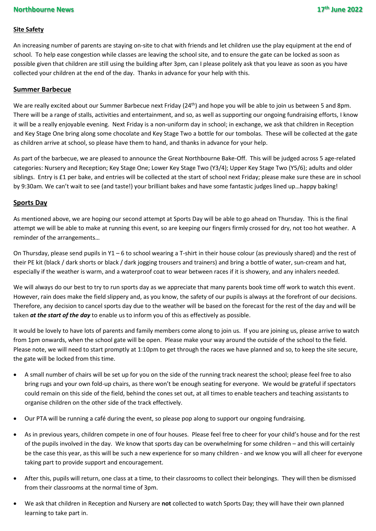#### **Site Safety**

An increasing number of parents are staying on-site to chat with friends and let children use the play equipment at the end of school. To help ease congestion while classes are leaving the school site, and to ensure the gate can be locked as soon as possible given that children are still using the building after 3pm, can I please politely ask that you leave as soon as you have collected your children at the end of the day. Thanks in advance for your help with this.

#### **Summer Barbecue**

We are really excited about our Summer Barbecue next Friday (24<sup>th</sup>) and hope you will be able to join us between 5 and 8pm. There will be a range of stalls, activities and entertainment, and so, as well as supporting our ongoing fundraising efforts, I know it will be a really enjoyable evening. Next Friday is a non-uniform day in school; in exchange, we ask that children in Reception and Key Stage One bring along some chocolate and Key Stage Two a bottle for our tombolas. These will be collected at the gate as children arrive at school, so please have them to hand, and thanks in advance for your help.

As part of the barbecue, we are pleased to announce the Great Northbourne Bake-Off. This will be judged across 5 age-related categories: Nursery and Reception; Key Stage One; Lower Key Stage Two (Y3/4); Upper Key Stage Two (Y5/6); adults and older siblings. Entry is £1 per bake, and entries will be collected at the start of school next Friday; please make sure these are in school by 9:30am. We can't wait to see (and taste!) your brilliant bakes and have some fantastic judges lined up…happy baking!

#### **Sports Day**

As mentioned above, we are hoping our second attempt at Sports Day will be able to go ahead on Thursday. This is the final attempt we will be able to make at running this event, so are keeping our fingers firmly crossed for dry, not too hot weather. A reminder of the arrangements…

On Thursday, please send pupils in Y1 – 6 to school wearing a T-shirt in their house colour (as previously shared) and the rest of their PE kit (black / dark shorts or black / dark jogging trousers and trainers) and bring a bottle of water, sun-cream and hat, especially if the weather is warm, and a waterproof coat to wear between races if it is showery, and any inhalers needed.

We will always do our best to try to run sports day as we appreciate that many parents book time off work to watch this event. However, rain does make the field slippery and, as you know, the safety of our pupils is always at the forefront of our decisions. Therefore, any decision to cancel sports day due to the weather will be based on the forecast for the rest of the day and will be taken *at the start of the day* to enable us to inform you of this as effectively as possible.

It would be lovely to have lots of parents and family members come along to join us. If you are joining us, please arrive to watch from 1pm onwards, when the school gate will be open. Please make your way around the outside of the school to the field. Please note, we will need to start promptly at 1:10pm to get through the races we have planned and so, to keep the site secure, the gate will be locked from this time.

- A small number of chairs will be set up for you on the side of the running track nearest the school; please feel free to also bring rugs and your own fold-up chairs, as there won't be enough seating for everyone. We would be grateful if spectators could remain on this side of the field, behind the cones set out, at all times to enable teachers and teaching assistants to organise children on the other side of the track effectively.
- Our PTA will be running a café during the event, so please pop along to support our ongoing fundraising.
- As in previous years, children compete in one of four houses. Please feel free to cheer for your child's house and for the rest of the pupils involved in the day. We know that sports day can be overwhelming for some children – and this will certainly be the case this year, as this will be such a new experience for so many children - and we know you will all cheer for everyone taking part to provide support and encouragement.
- After this, pupils will return, one class at a time, to their classrooms to collect their belongings. They will then be dismissed from their classrooms at the normal time of 3pm.
- We ask that children in Reception and Nursery are **not** collected to watch Sports Day; they will have their own planned learning to take part in.